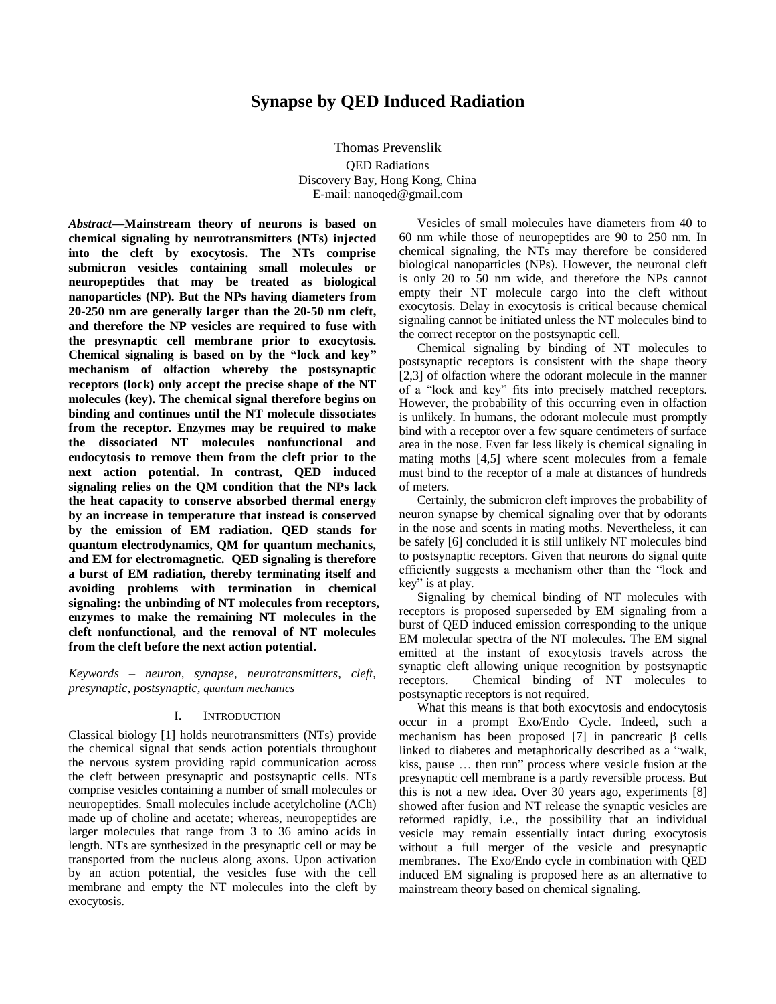# **Synapse by QED Induced Radiation**

Thomas Prevenslik QED Radiations Discovery Bay, Hong Kong, China E-mail: nanoqed@gmail.com

*Abstract***—Mainstream theory of neurons is based on chemical signaling by neurotransmitters (NTs) injected into the cleft by exocytosis. The NTs comprise submicron vesicles containing small molecules or neuropeptides that may be treated as biological nanoparticles (NP). But the NPs having diameters from 20-250 nm are generally larger than the 20-50 nm cleft, and therefore the NP vesicles are required to fuse with the presynaptic cell membrane prior to exocytosis. Chemical signaling is based on by the "lock and key" mechanism of olfaction whereby the postsynaptic receptors (lock) only accept the precise shape of the NT molecules (key). The chemical signal therefore begins on binding and continues until the NT molecule dissociates from the receptor. Enzymes may be required to make the dissociated NT molecules nonfunctional and endocytosis to remove them from the cleft prior to the next action potential. In contrast, QED induced signaling relies on the QM condition that the NPs lack the heat capacity to conserve absorbed thermal energy by an increase in temperature that instead is conserved by the emission of EM radiation. QED stands for quantum electrodynamics, QM for quantum mechanics, and EM for electromagnetic. QED signaling is therefore a burst of EM radiation, thereby terminating itself and avoiding problems with termination in chemical signaling: the unbinding of NT molecules from receptors, enzymes to make the remaining NT molecules in the cleft nonfunctional, and the removal of NT molecules from the cleft before the next action potential.**

*Keywords – neuron, synapse, neurotransmitters, cleft, presynaptic, postsynaptic, quantum mechanics*

# I. INTRODUCTION

Classical biology [1] holds neurotransmitters (NTs) provide the chemical signal that sends action potentials throughout the nervous system providing rapid communication across the cleft between presynaptic and postsynaptic cells. NTs comprise vesicles containing a number of small molecules or neuropeptides. Small molecules include acetylcholine (ACh) made up of choline and acetate; whereas, neuropeptides are larger molecules that range from 3 to 36 amino acids in length. NTs are synthesized in the presynaptic cell or may be transported from the nucleus along axons. Upon activation by an action potential, the vesicles fuse with the cell membrane and empty the NT molecules into the cleft by exocytosis.

Vesicles of small molecules have diameters from 40 to 60 nm while those of neuropeptides are 90 to 250 nm. In chemical signaling, the NTs may therefore be considered biological nanoparticles (NPs). However, the neuronal cleft is only 20 to 50 nm wide, and therefore the NPs cannot empty their NT molecule cargo into the cleft without exocytosis. Delay in exocytosis is critical because chemical signaling cannot be initiated unless the NT molecules bind to the correct receptor on the postsynaptic cell.

Chemical signaling by binding of NT molecules to postsynaptic receptors is consistent with the shape theory [2,3] of olfaction where the odorant molecule in the manner of a "lock and key" fits into precisely matched receptors. However, the probability of this occurring even in olfaction is unlikely. In humans, the odorant molecule must promptly bind with a receptor over a few square centimeters of surface area in the nose. Even far less likely is chemical signaling in mating moths [4,5] where scent molecules from a female must bind to the receptor of a male at distances of hundreds of meters.

Certainly, the submicron cleft improves the probability of neuron synapse by chemical signaling over that by odorants in the nose and scents in mating moths. Nevertheless, it can be safely [6] concluded it is still unlikely NT molecules bind to postsynaptic receptors. Given that neurons do signal quite efficiently suggests a mechanism other than the "lock and key" is at play.

Signaling by chemical binding of NT molecules with receptors is proposed superseded by EM signaling from a burst of QED induced emission corresponding to the unique EM molecular spectra of the NT molecules. The EM signal emitted at the instant of exocytosis travels across the synaptic cleft allowing unique recognition by postsynaptic receptors. Chemical binding of NT molecules to postsynaptic receptors is not required.

What this means is that both exocytosis and endocytosis occur in a prompt Exo/Endo Cycle. Indeed, such a mechanism has been proposed [7] in pancreatic  $\beta$  cells linked to diabetes and metaphorically described as a "walk, kiss, pause … then run" process where vesicle fusion at the presynaptic cell membrane is a partly reversible process. But this is not a new idea. Over 30 years ago, experiments [8] showed after fusion and NT release the synaptic vesicles are reformed rapidly, i.e., the possibility that an individual vesicle may remain essentially intact during exocytosis without a full merger of the vesicle and presynaptic membranes. The Exo/Endo cycle in combination with QED induced EM signaling is proposed here as an alternative to mainstream theory based on chemical signaling.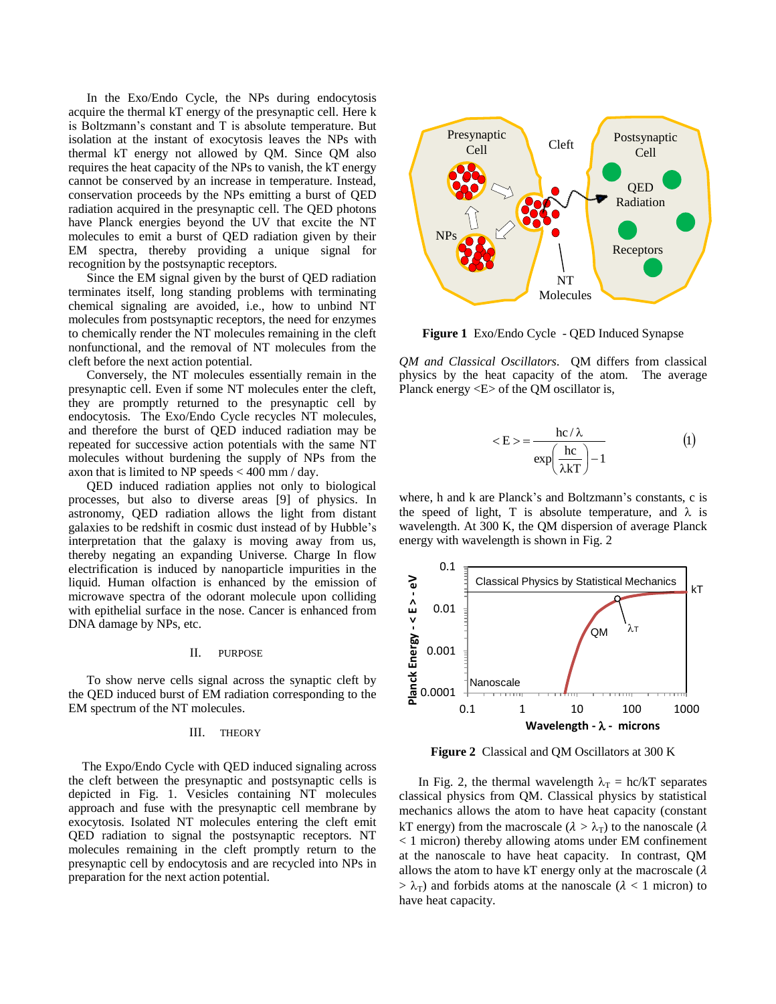In the Exo/Endo Cycle, the NPs during endocytosis acquire the thermal kT energy of the presynaptic cell. Here k is Boltzmann's constant and T is absolute temperature. But isolation at the instant of exocytosis leaves the NPs with thermal kT energy not allowed by QM. Since QM also requires the heat capacity of the NPs to vanish, the kT energy cannot be conserved by an increase in temperature. Instead, conservation proceeds by the NPs emitting a burst of QED radiation acquired in the presynaptic cell. The QED photons have Planck energies beyond the UV that excite the NT molecules to emit a burst of QED radiation given by their EM spectra, thereby providing a unique signal for recognition by the postsynaptic receptors.

Since the EM signal given by the burst of QED radiation terminates itself, long standing problems with terminating chemical signaling are avoided, i.e., how to unbind NT molecules from postsynaptic receptors, the need for enzymes to chemically render the NT molecules remaining in the cleft nonfunctional, and the removal of NT molecules from the cleft before the next action potential.

Conversely, the NT molecules essentially remain in the presynaptic cell. Even if some NT molecules enter the cleft, they are promptly returned to the presynaptic cell by endocytosis. The Exo/Endo Cycle recycles NT molecules, and therefore the burst of QED induced radiation may be repeated for successive action potentials with the same NT molecules without burdening the supply of NPs from the axon that is limited to NP speeds < 400 mm / day.

QED induced radiation applies not only to biological processes, but also to diverse areas [9] of physics. In astronomy, QED radiation allows the light from distant galaxies to be redshift in cosmic dust instead of by Hubble's interpretation that the galaxy is moving away from us, thereby negating an expanding Universe. Charge In flow electrification is induced by nanoparticle impurities in the liquid. Human olfaction is enhanced by the emission of microwave spectra of the odorant molecule upon colliding with epithelial surface in the nose. Cancer is enhanced from DNA damage by NPs, etc.

#### II. PURPOSE

To show nerve cells signal across the synaptic cleft by the QED induced burst of EM radiation corresponding to the EM spectrum of the NT molecules.

## III. THEORY

The Expo/Endo Cycle with QED induced signaling across the cleft between the presynaptic and postsynaptic cells is depicted in Fig. 1. Vesicles containing NT molecules approach and fuse with the presynaptic cell membrane by exocytosis. Isolated NT molecules entering the cleft emit QED radiation to signal the postsynaptic receptors. NT molecules remaining in the cleft promptly return to the presynaptic cell by endocytosis and are recycled into NPs in preparation for the next action potential.



**Figure 1** Exo/Endo Cycle - QED Induced Synapse

*QM and Classical Oscillators*. QM differs from classical physics by the heat capacity of the atom. The average Planck energy <E> of the QM oscillator is,

$$
\langle E \rangle = \frac{hc/\lambda}{exp\left(\frac{hc}{\lambda kT}\right) - 1} \tag{1}
$$

where, h and k are Planck's and Boltzmann's constants, c is the speed of light, T is absolute temperature, and  $\lambda$  is wavelength. At 300 K, the QM dispersion of average Planck energy with wavelength is shown in Fig. 2



**Figure 2** Classical and QM Oscillators at 300 K

In Fig. 2, the thermal wavelength  $\lambda_T = hc/kT$  separates classical physics from QM. Classical physics by statistical mechanics allows the atom to have heat capacity (constant kT energy) from the macroscale ( $\lambda > \lambda_T$ ) to the nanoscale ( $\lambda$ < 1 micron) thereby allowing atoms under EM confinement at the nanoscale to have heat capacity. In contrast, QM allows the atom to have kT energy only at the macroscale  $(\lambda)$  $> \lambda_T$ ) and forbids atoms at the nanoscale ( $\lambda < 1$  micron) to have heat capacity.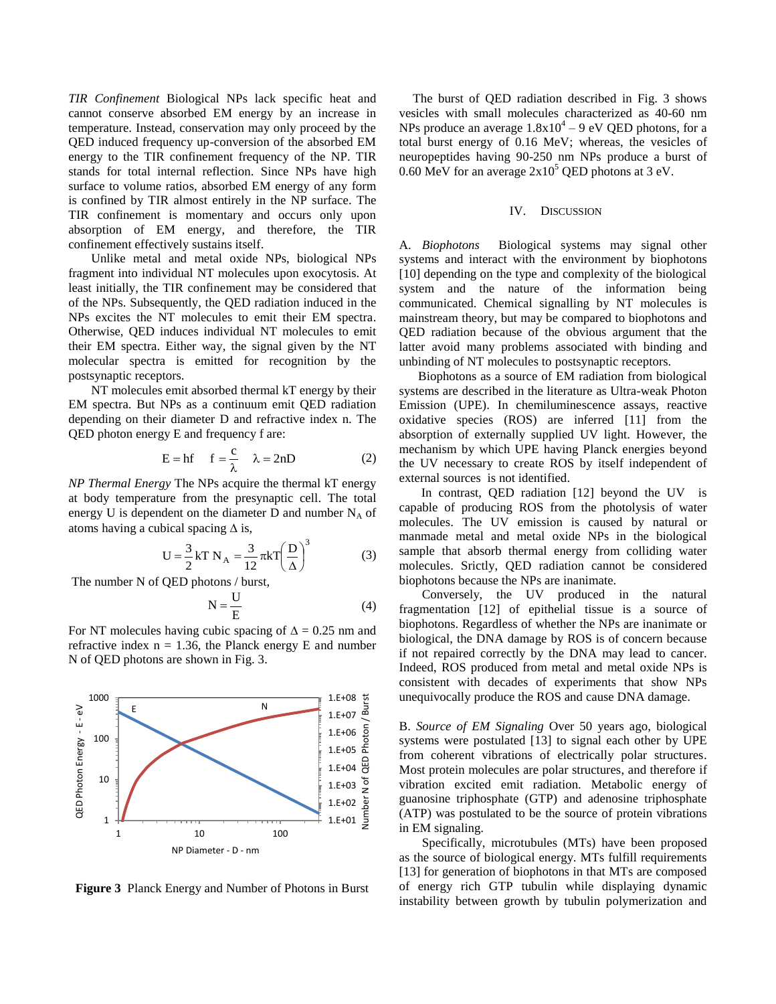*TIR Confinement* Biological NPs lack specific heat and cannot conserve absorbed EM energy by an increase in temperature. Instead, conservation may only proceed by the QED induced frequency up-conversion of the absorbed EM energy to the TIR confinement frequency of the NP. TIR stands for total internal reflection. Since NPs have high surface to volume ratios, absorbed EM energy of any form is confined by TIR almost entirely in the NP surface. The TIR confinement is momentary and occurs only upon absorption of EM energy, and therefore, the TIR confinement effectively sustains itself.

Unlike metal and metal oxide NPs, biological NPs fragment into individual NT molecules upon exocytosis. At least initially, the TIR confinement may be considered that of the NPs. Subsequently, the QED radiation induced in the NPs excites the NT molecules to emit their EM spectra. Otherwise, QED induces individual NT molecules to emit their EM spectra. Either way, the signal given by the NT molecular spectra is emitted for recognition by the postsynaptic receptors.

NT molecules emit absorbed thermal kT energy by their EM spectra. But NPs as a continuum emit QED radiation depending on their diameter D and refractive index n. The QED photon energy E and frequency f are:

$$
E = hf \t f = \frac{c}{\lambda} \t \lambda = 2nD \t (2)
$$

*NP Thermal Energy* The NPs acquire the thermal kT energy at body temperature from the presynaptic cell. The total energy U is dependent on the diameter D and number  $N_A$  of atoms having a cubical spacing  $\Delta$  is,

$$
U = \frac{3}{2} kT N_A = \frac{3}{12} \pi kT \left(\frac{D}{\Delta}\right)^3 \tag{3}
$$

The number N of QED photons / burst,

$$
N = \frac{U}{E}
$$
 (4)

For NT molecules having cubic spacing of  $\Delta = 0.25$  nm and refractive index  $n = 1.36$ , the Planck energy E and number N of QED photons are shown in Fig. 3.



**Figure 3** Planck Energy and Number of Photons in Burst

The burst of QED radiation described in Fig. 3 shows vesicles with small molecules characterized as 40-60 nm NPs produce an average  $1.8x10^4 - 9$  eV QED photons, for a total burst energy of 0.16 MeV; whereas, the vesicles of neuropeptides having 90-250 nm NPs produce a burst of 0.60 MeV for an average  $2x10^5$  QED photons at 3 eV.

# IV. DISCUSSION

A. *Biophotons* Biological systems may signal other systems and interact with the environment by biophotons [10] depending on the type and complexity of the biological system and the nature of the information being communicated. Chemical signalling by NT molecules is mainstream theory, but may be compared to biophotons and QED radiation because of the obvious argument that the latter avoid many problems associated with binding and unbinding of NT molecules to postsynaptic receptors.

Biophotons as a source of EM radiation from biological systems are described in the literature as Ultra-weak Photon Emission (UPE). In chemiluminescence assays, reactive oxidative species (ROS) are inferred [11] from the absorption of externally supplied UV light. However, the mechanism by which UPE having Planck energies beyond the UV necessary to create ROS by itself independent of external sources is not identified.

In contrast, QED radiation [12] beyond the UV is capable of producing ROS from the photolysis of water molecules. The UV emission is caused by natural or manmade metal and metal oxide NPs in the biological sample that absorb thermal energy from colliding water molecules. Srictly, QED radiation cannot be considered biophotons because the NPs are inanimate.

Conversely, the UV produced in the natural fragmentation [12] of epithelial tissue is a source of biophotons. Regardless of whether the NPs are inanimate or biological, the DNA damage by ROS is of concern because if not repaired correctly by the DNA may lead to cancer. Indeed, ROS produced from metal and metal oxide NPs is consistent with decades of experiments that show NPs unequivocally produce the ROS and cause DNA damage.

B. *Source of EM Signaling* Over 50 years ago, biological systems were postulated [13] to signal each other by UPE from coherent vibrations of electrically polar structures. Most protein molecules are polar structures, and therefore if vibration excited emit radiation. Metabolic energy of guanosine triphosphate (GTP) and adenosine triphosphate (ATP) was postulated to be the source of protein vibrations in EM signaling.

Specifically, microtubules (MTs) have been proposed as the source of biological energy. MTs fulfill requirements [13] for generation of biophotons in that MTs are composed of energy rich GTP tubulin while displaying dynamic instability between growth by tubulin polymerization and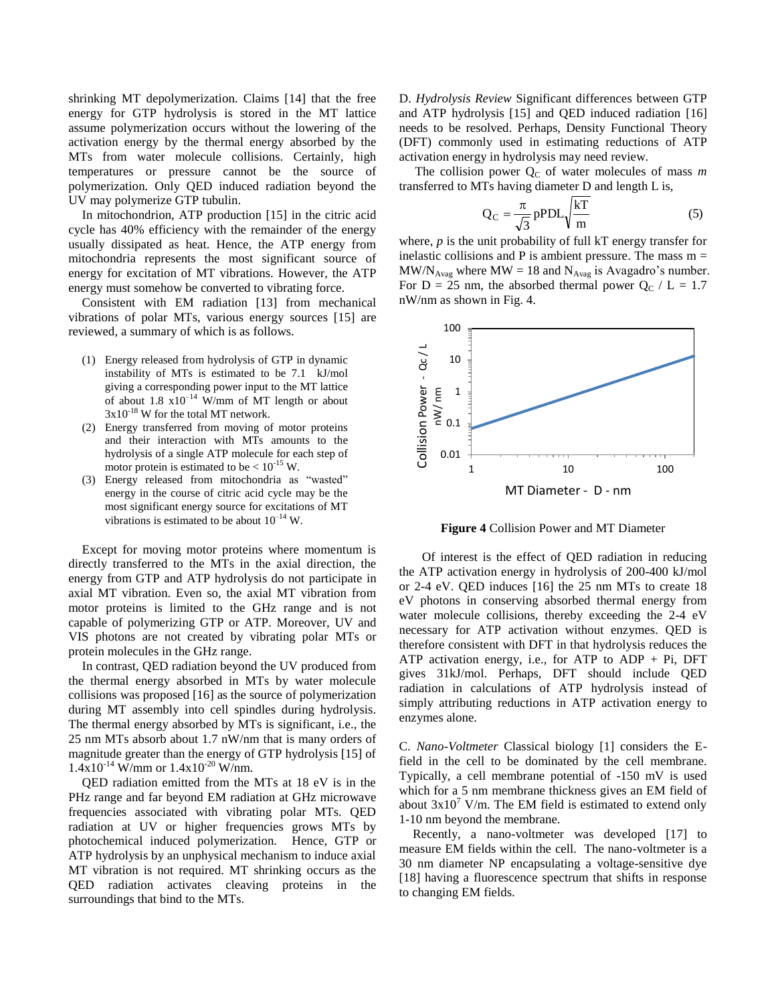shrinking MT depolymerization. Claims [14] that the free energy for GTP hydrolysis is stored in the MT lattice assume polymerization occurs without the lowering of the activation energy by the thermal energy absorbed by the MTs from water molecule collisions. Certainly, high temperatures or pressure cannot be the source of polymerization. Only QED induced radiation beyond the UV may polymerize GTP tubulin.

In mitochondrion, ATP production [15] in the citric acid cycle has 40% efficiency with the remainder of the energy usually dissipated as heat. Hence, the ATP energy from mitochondria represents the most significant source of energy for excitation of MT vibrations. However, the ATP energy must somehow be converted to vibrating force.

Consistent with EM radiation [13] from mechanical vibrations of polar MTs, various energy sources [15] are reviewed, a summary of which is as follows.

- (1) Energy released from hydrolysis of GTP in dynamic instability of MTs is estimated to be 7.1 kJ/mol giving a corresponding power input to the MT lattice of about  $1.8 \times 10^{-14}$  W/mm of MT length or about  $3x10^{-18}$  W for the total MT network.
- (2) Energy transferred from moving of motor proteins and their interaction with MTs amounts to the hydrolysis of a single ATP molecule for each step of motor protein is estimated to be  $< 10^{-15}$  W.
- (3) Energy released from mitochondria as "wasted" energy in the course of citric acid cycle may be the most significant energy source for excitations of MT vibrations is estimated to be about  $10^{-14}$  W.

Except for moving motor proteins where momentum is directly transferred to the MTs in the axial direction, the energy from GTP and ATP hydrolysis do not participate in axial MT vibration. Even so, the axial MT vibration from motor proteins is limited to the GHz range and is not capable of polymerizing GTP or ATP. Moreover, UV and VIS photons are not created by vibrating polar MTs or protein molecules in the GHz range.

In contrast, QED radiation beyond the UV produced from the thermal energy absorbed in MTs by water molecule collisions was proposed [16] as the source of polymerization during MT assembly into cell spindles during hydrolysis. The thermal energy absorbed by MTs is significant, i.e., the 25 nm MTs absorb about 1.7 nW/nm that is many orders of magnitude greater than the energy of GTP hydrolysis [15] of  $1.4x10^{-14}$  W/mm or  $1.4x10^{-20}$  W/nm.

QED radiation emitted from the MTs at 18 eV is in the PHz range and far beyond EM radiation at GHz microwave frequencies associated with vibrating polar MTs. QED radiation at UV or higher frequencies grows MTs by photochemical induced polymerization. Hence, GTP or ATP hydrolysis by an unphysical mechanism to induce axial MT vibration is not required. MT shrinking occurs as the QED radiation activates cleaving proteins in the surroundings that bind to the MTs.

D. *Hydrolysis Review* Significant differences between GTP and ATP hydrolysis [15] and QED induced radiation [16] needs to be resolved. Perhaps, Density Functional Theory (DFT) commonly used in estimating reductions of ATP activation energy in hydrolysis may need review.

The collision power  $Q_C$  of water molecules of mass  $m$ transferred to MTs having diameter D and length L is,

$$
Q_C = \frac{\pi}{\sqrt{3}} pPDL\sqrt{\frac{kT}{m}}
$$
 (5)

where, *p* is the unit probability of full kT energy transfer for inelastic collisions and P is ambient pressure. The mass  $m =$  $MW/N_{\text{Avag}}$  where  $MW = 18$  and  $N_{\text{Avag}}$  is Avagadro's number. For D = 25 nm, the absorbed thermal power  $Q_C$  / L = 1.7 nW/nm as shown in Fig. 4.



**Figure 4** Collision Power and MT Diameter

Of interest is the effect of QED radiation in reducing the ATP activation energy in hydrolysis of 200-400 kJ/mol or 2-4 eV. QED induces [16] the 25 nm MTs to create 18 eV photons in conserving absorbed thermal energy from water molecule collisions, thereby exceeding the 2-4 eV necessary for ATP activation without enzymes. QED is therefore consistent with DFT in that hydrolysis reduces the ATP activation energy, i.e., for ATP to ADP  $+$  Pi, DFT gives 31kJ/mol. Perhaps, DFT should include QED radiation in calculations of ATP hydrolysis instead of simply attributing reductions in ATP activation energy to enzymes alone.

C. *Nano-Voltmeter* Classical biology [1] considers the Efield in the cell to be dominated by the cell membrane. Typically, a cell membrane potential of -150 mV is used which for a 5 nm membrane thickness gives an EM field of about  $3x10^7$  V/m. The EM field is estimated to extend only 1-10 nm beyond the membrane.

Recently, a nano-voltmeter was developed [17] to measure EM fields within the cell. The nano-voltmeter is a 30 nm diameter NP encapsulating a voltage-sensitive dye [18] having a fluorescence spectrum that shifts in response to changing EM fields.